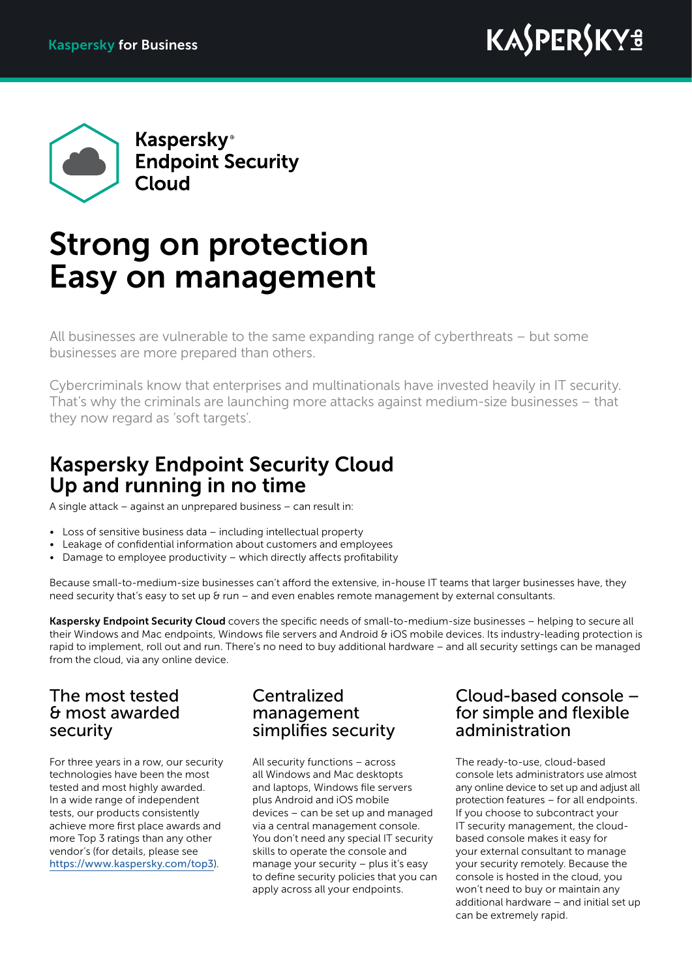

# Strong on protection Easy on management

All businesses are vulnerable to the same expanding range of cyberthreats – but some businesses are more prepared than others.

Cybercriminals know that enterprises and multinationals have invested heavily in IT security. That's why the criminals are launching more attacks against medium‑size businesses – that they now regard as 'soft targets'.

## Kaspersky Endpoint Security Cloud Up and running in no time

A single attack – against an unprepared business – can result in:

- Loss of sensitive business data including intellectual property
- Leakage of confidential information about customers and employees
- Damage to employee productivity which directly affects profitability

Because small-to-medium-size businesses can't afford the extensive, in-house IT teams that larger businesses have, they need security that's easy to set up & run – and even enables remote management by external consultants.

Kaspersky Endpoint Security Cloud covers the specific needs of small-to-medium-size businesses – helping to secure all their Windows and Mac endpoints, Windows file servers and Android & iOS mobile devices. Its industry-leading protection is rapid to implement, roll out and run. There's no need to buy additional hardware – and all security settings can be managed from the cloud, via any online device.

## The most tested & most awarded security

For three years in a row, our security technologies have been the most tested and most highly awarded. In a wide range of independent tests, our products consistently achieve more first place awards and more Top 3 ratings than any other vendor's (for details, please see <https://www.kaspersky.com/top3>).

### Centralized management simplifies security

All security functions – across all Windows and Mac desktopts and laptops, Windows file servers plus Android and iOS mobile devices – can be set up and managed via a central management console. You don't need any special IT security skills to operate the console and manage your security – plus it's easy to define security policies that you can apply across all your endpoints.

## Cloud-based console – for simple and flexible administration

The ready-to-use, cloud-based console lets administrators use almost any online device to set up and adjust all protection features – for all endpoints. If you choose to subcontract your IT security management, the cloudbased console makes it easy for your external consultant to manage your security remotely. Because the console is hosted in the cloud, you won't need to buy or maintain any additional hardware – and initial set up can be extremely rapid.